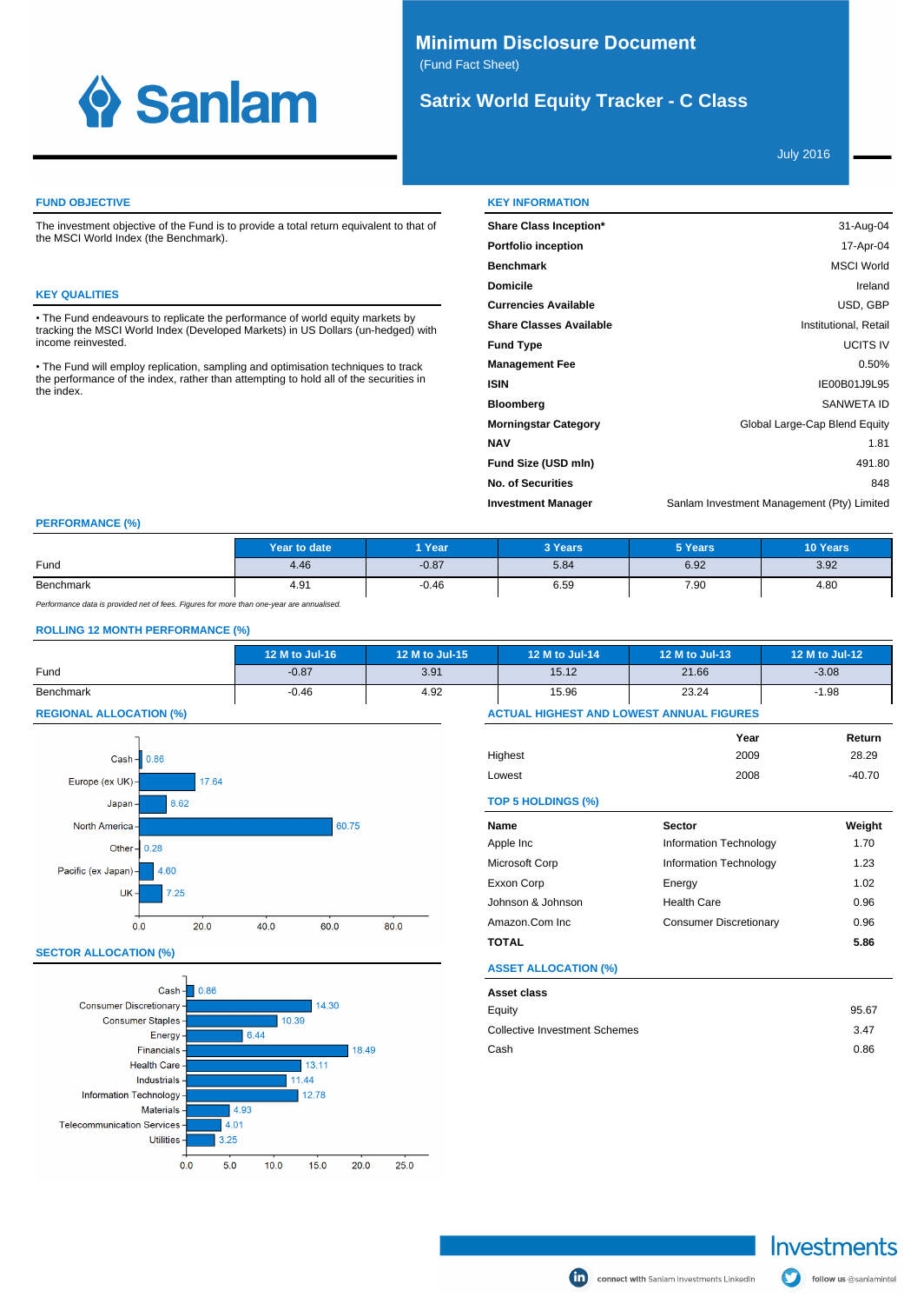

# **Minimum Disclosure Document** (Fund Fact Sheet)

# **Satrix World Equity Tracker - C Class**

July 2016

## **FUND OBJECTIVE**

The investment objective of the Fund is to provide a total return equivalent to that of the MSCI World Index (the Benchmark).

## **KEY QUALITIES**

The Fund endeavours to replicate the performance of world equity markets by tracking the MSCI World Index (Developed Markets) in US Dollars (un-hedged) with income reinvested.

• The Fund will employ replication, sampling and optimisation techniques to track<br>the performance of the index, rather than attempting to hold all of the securities in<br>the index.

| <b>KEY INFORMATION</b>         |                                            |
|--------------------------------|--------------------------------------------|
| <b>Share Class Inception*</b>  | 31-Aug-04                                  |
| <b>Portfolio inception</b>     | 17-Apr-04                                  |
| <b>Benchmark</b>               | <b>MSCI World</b>                          |
| <b>Domicile</b>                | Ireland                                    |
| <b>Currencies Available</b>    | USD, GBP                                   |
| <b>Share Classes Available</b> | Institutional, Retail                      |
| <b>Fund Type</b>               | <b>UCITS IV</b>                            |
| <b>Management Fee</b>          | 0.50%                                      |
| <b>ISIN</b>                    | IE00B01J9L95                               |
| <b>Bloomberg</b>               | <b>SANWETA ID</b>                          |
| <b>Morningstar Category</b>    | Global Large-Cap Blend Equity              |
| <b>NAV</b>                     | 1.81                                       |
| Fund Size (USD mln)            | 491.80                                     |
| <b>No. of Securities</b>       | 848                                        |
| <b>Investment Manager</b>      | Sanlam Investment Management (Pty) Limited |

## **PERFORMANCE (%)**

|           | Year to date | Year    | 3 Years | 5 Years | 10 Years |
|-----------|--------------|---------|---------|---------|----------|
| Fund      | 4.46         | $-0.87$ | 5.84    | 6.92    | 3.92     |
| Benchmark | 4.91         | $-0.46$ | 6.59    | 7.90    | 4.80     |

Performance data is provided net of fees. Figures for more than one-year are annualised.

#### **ROLLING 12 MONTH PERFORMANCE (%)**

|                                | 12 M to Jul-16                                  | 12 M to Jul-15 | 12 M to Jul-14 | 12 M to Jul-13 | 12 M to Jul-12 |
|--------------------------------|-------------------------------------------------|----------------|----------------|----------------|----------------|
| Fund                           | $-0.87$                                         | 3.91           | 15.12          | 21.66          | $-3.08$        |
| Benchmark                      | $-0.46$                                         | 4.92           | 15.96          | 23.24          | $-1.98$        |
| <b>REGIONAL ALLOCATION (%)</b> | <b>ACTUAL HIGHEST AND LOWEST ANNUAL FIGURES</b> |                |                |                |                |



#### **SECTOR ALLOCATION (%)**



|                             | Year                          | Return   |
|-----------------------------|-------------------------------|----------|
| Highest                     | 2009                          | 28.29    |
| Lowest                      | 2008                          | $-40.70$ |
| TOP 5 HOLDINGS (%)          |                               |          |
| Name                        | <b>Sector</b>                 | Weight   |
| Apple Inc                   | Information Technology        | 1.70     |
| Microsoft Corp              | Information Technology        | 1.23     |
| Exxon Corp                  | Energy                        | 1.02     |
| Johnson & Johnson           | <b>Health Care</b>            | 0.96     |
| Amazon.Com Inc              | <b>Consumer Discretionary</b> | 0.96     |
| <b>TOTAL</b>                |                               | 5.86     |
| <b>ASSET ALLOCATION (%)</b> |                               |          |
| Asset class                 |                               |          |
| Equity                      |                               | 95.67    |

| , , , , , , , , , , , , , , , |       |
|-------------------------------|-------|
| Equity                        | 95.67 |
| Collective Investment Schemes | 3.47  |
| Cash                          | 0.86  |

connect with Sanlam Investments Linkedin

Investments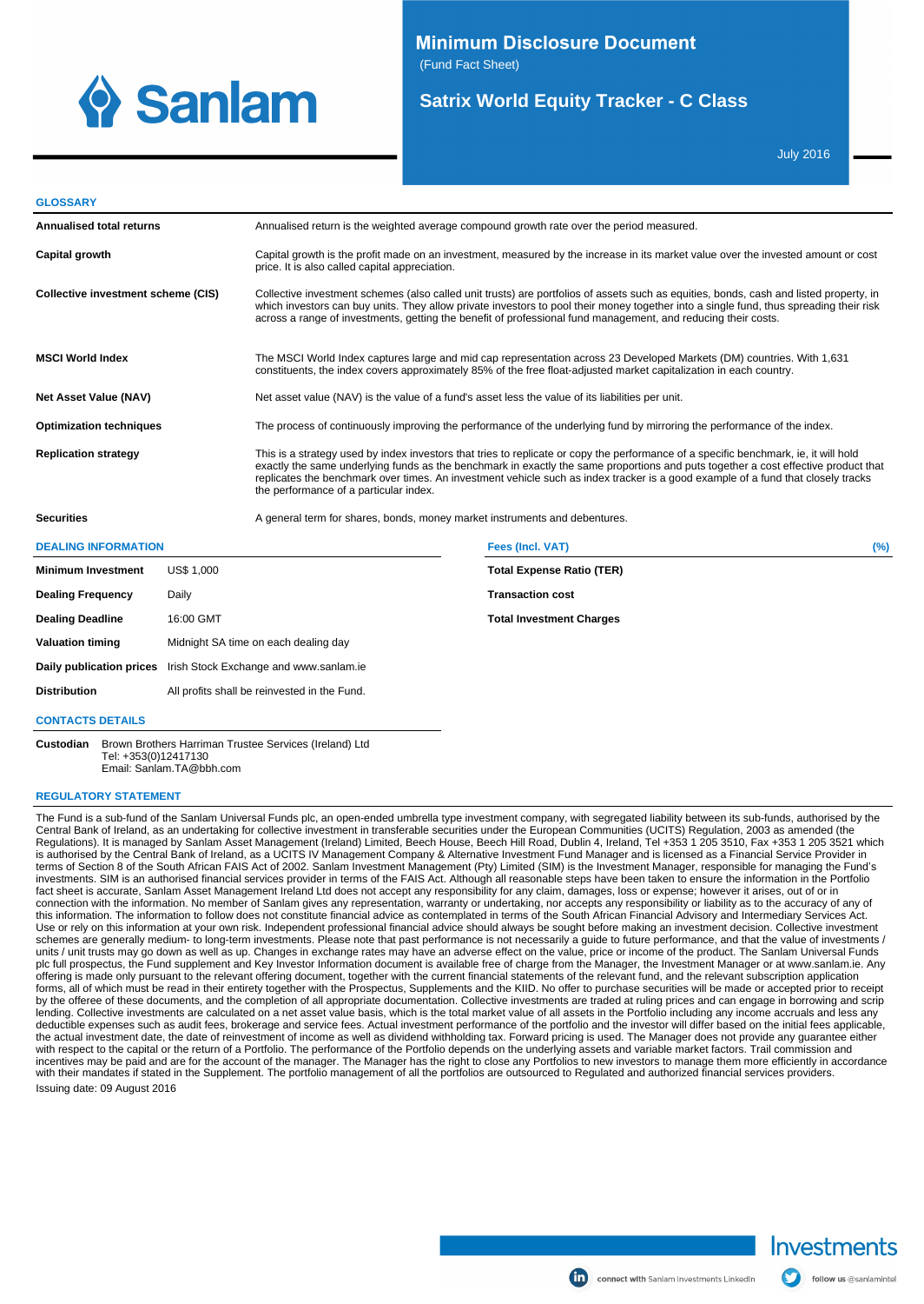

(Fund Fact Sheet)

# **Satrix World Equity Tracker - C Class**

July 2016

#### **GLOSSARY**

| Annualised total returns                                        |                                                                 | Annualised return is the weighted average compound growth rate over the period measured.                                                                                                                                                    |                                                                                                                                                                                                                                                                                                                                                                                                                |     |  |
|-----------------------------------------------------------------|-----------------------------------------------------------------|---------------------------------------------------------------------------------------------------------------------------------------------------------------------------------------------------------------------------------------------|----------------------------------------------------------------------------------------------------------------------------------------------------------------------------------------------------------------------------------------------------------------------------------------------------------------------------------------------------------------------------------------------------------------|-----|--|
| Capital growth                                                  |                                                                 | price. It is also called capital appreciation.                                                                                                                                                                                              | Capital growth is the profit made on an investment, measured by the increase in its market value over the invested amount or cost                                                                                                                                                                                                                                                                              |     |  |
| Collective investment scheme (CIS)                              |                                                                 |                                                                                                                                                                                                                                             | Collective investment schemes (also called unit trusts) are portfolios of assets such as equities, bonds, cash and listed property, in<br>which investors can buy units. They allow private investors to pool their money together into a single fund, thus spreading their risk<br>across a range of investments, getting the benefit of professional fund management, and reducing their costs.              |     |  |
| <b>MSCI World Index</b>                                         |                                                                 | The MSCI World Index captures large and mid cap representation across 23 Developed Markets (DM) countries. With 1,631<br>constituents, the index covers approximately 85% of the free float-adjusted market capitalization in each country. |                                                                                                                                                                                                                                                                                                                                                                                                                |     |  |
| <b>Net Asset Value (NAV)</b>                                    |                                                                 | Net asset value (NAV) is the value of a fund's asset less the value of its liabilities per unit.                                                                                                                                            |                                                                                                                                                                                                                                                                                                                                                                                                                |     |  |
| <b>Optimization techniques</b>                                  |                                                                 |                                                                                                                                                                                                                                             | The process of continuously improving the performance of the underlying fund by mirroring the performance of the index.                                                                                                                                                                                                                                                                                        |     |  |
| <b>Replication strategy</b>                                     |                                                                 | the performance of a particular index.                                                                                                                                                                                                      | This is a strategy used by index investors that tries to replicate or copy the performance of a specific benchmark, ie, it will hold<br>exactly the same underlying funds as the benchmark in exactly the same proportions and puts together a cost effective product that<br>replicates the benchmark over times. An investment vehicle such as index tracker is a good example of a fund that closely tracks |     |  |
| <b>Securities</b>                                               |                                                                 | A general term for shares, bonds, money market instruments and debentures.                                                                                                                                                                  |                                                                                                                                                                                                                                                                                                                                                                                                                |     |  |
| <b>DEALING INFORMATION</b>                                      |                                                                 |                                                                                                                                                                                                                                             | <b>Fees (Incl. VAT)</b>                                                                                                                                                                                                                                                                                                                                                                                        | (%) |  |
| <b>Minimum Investment</b>                                       | <b>US\$ 1.000</b>                                               |                                                                                                                                                                                                                                             | <b>Total Expense Ratio (TER)</b>                                                                                                                                                                                                                                                                                                                                                                               |     |  |
| <b>Dealing Frequency</b>                                        | Daily                                                           |                                                                                                                                                                                                                                             | <b>Transaction cost</b>                                                                                                                                                                                                                                                                                                                                                                                        |     |  |
| <b>Dealing Deadline</b>                                         | 16:00 GMT                                                       |                                                                                                                                                                                                                                             | <b>Total Investment Charges</b>                                                                                                                                                                                                                                                                                                                                                                                |     |  |
| <b>Valuation timing</b><br>Midnight SA time on each dealing day |                                                                 |                                                                                                                                                                                                                                             |                                                                                                                                                                                                                                                                                                                                                                                                                |     |  |
|                                                                 | Daily publication prices Irish Stock Exchange and www.sanlam.ie |                                                                                                                                                                                                                                             |                                                                                                                                                                                                                                                                                                                                                                                                                |     |  |

**Distribution** All profits shall be reinvested in the Fund.

#### **CONTACTS DETAILS**

**Custodian** Brown Brothers Harriman Trustee Services (Ireland) Ltd Tel: +353(0)12417130 Email: Sanlam.TA@bbh.com

#### **REGULATORY STATEMENT**

The Fund is a sub-fund of the Sanlam Universal Funds plc, an open-ended umbrella type investment company, with segregated liability between its sub-funds, authorised by the Central Bank of Ireland, as an undertaking for collective investment in transferable securities under the European Communities (UCITS) Regulation, 2003 as amended (the Regulations). It is managed by Sanlam Asset Management (Ireland) Limited, Beech House, Beech Hill Road, Dublin 4, Ireland, Tel +353 1 205 3510, Fax +353 1 205 3521 which is authorised by the Central Bank of Ireland, as a UCITS IV Management Company & Alternative Investment Fund Manager and is licensed as a Financial Service Provider in terms of Section 8 of the South African FAIS Act of 2002. Sanlam Investment Management (Pty) Limited (SIM) is the Investment Manager, responsible for managing the Fund's<br>investments. SIM is an authorised financial services fact sheet is accurate, Sanlam Asset Management Ireland Ltd does not accept any responsibility for any claim, damages, loss or expense; however it arises, out of or in connection with the information. No member of Sanlam gives any representation, warranty or undertaking, nor accepts any responsibility or liability as to the accuracy of any of this information. The information to follow does not constitute financial advice as contemplated in terms of the South African Financial Advisory and Intermediary Services Act. Use or rely on this information at your own risk. Independent professional financial advice should always be sought before making an investment decision. Collective investment<br>schemes are generally medium- to long-term inv units / unit trusts may go down as well as up. Changes in exchange rates may have an adverse effect on the value, price or income of the product. The Sanlam Universal Funds plc full prospectus, the Fund supplement and Key Investor Information document is available free of charge from the Manager, the Investment Manager or at www.sanlam.ie. Any offering is made only pursuant to the relevant offering document, together with the current financial statements of the relevant fund, and the relevant subscription application<br>forms, all of which must be read in their ent by the offeree of these documents, and the completion of all appropriate documentation. Collective investments are traded at ruling prices and can engage in borrowing and scrip lending. Collective investments are calculated on a net asset value basis, which is the total market value of all assets in the Portfolio including any income accruals and less any deductible expenses such as audit fees, brokerage and service fees. Actual investment performance of the portfolio and the investor will differ based on the initial fees applicable, the actual investment date, the date of reinvestment of income as well as dividend withholding tax. Forward pricing is used. The Manager does not provide any guarantee either<br>with respect to the capital or the return of a with their mandates if stated in the Supplement. The portfolio management of all the portfolios are outsourced to Regulated and authorized financial services providers. Issuing date: 09 August 2016



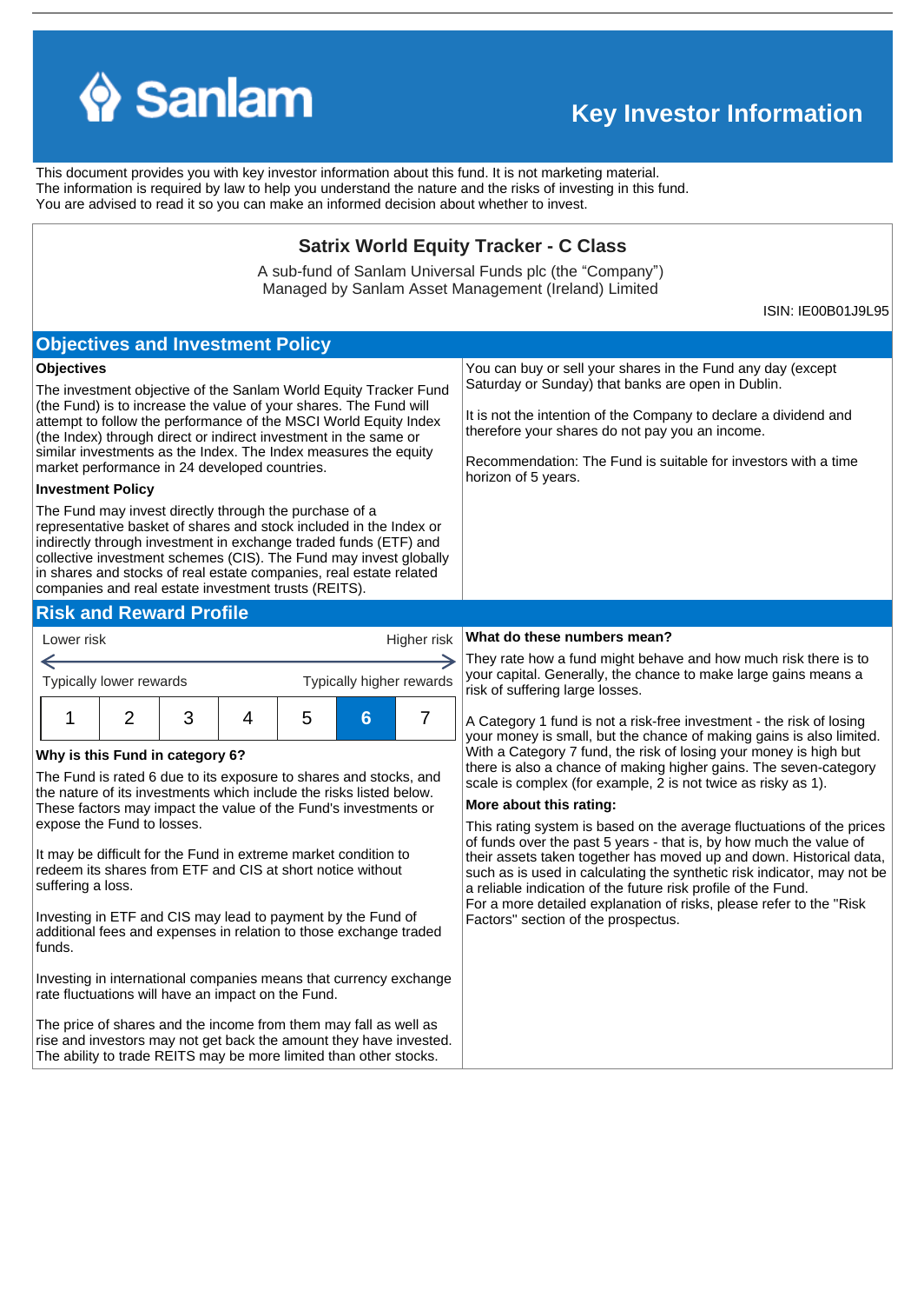

rise and investors may not get back the amount they have invested. The ability to trade REITS may be more limited than other stocks.

# **Key Investor Information**

This document provides you with key investor information about this fund. It is not marketing material. The information is required by law to help you understand the nature and the risks of investing in this fund. You are advised to read it so you can make an informed decision about whether to invest.

## **Satrix World Equity Tracker - C Class**

A sub-fund of Sanlam Universal Funds plc (the "Company") Managed by Sanlam Asset Management (Ireland) Limited

ISIN: IE00B01J9L95

#### **Objectives and Investment Policy Objectives** You can buy or sell your shares in the Fund any day (except Saturday or Sunday) that banks are open in Dublin. The investment objective of the Sanlam World Equity Tracker Fund (the Fund) is to increase the value of your shares. The Fund will It is not the intention of the Company to declare a dividend and attempt to follow the performance of the MSCI World Equity Index therefore your shares do not pay you an income. (the Index) through direct or indirect investment in the same or similar investments as the Index. The Index measures the equity Recommendation: The Fund is suitable for investors with a time market performance in 24 developed countries. horizon of 5 years. **Investment Policy** The Fund may invest directly through the purchase of a representative basket of shares and stock included in the Index or indirectly through investment in exchange traded funds (ETF) and collective investment schemes (CIS). The Fund may invest globally in shares and stocks of real estate companies, real estate related companies and real estate investment trusts (REITS). **Risk and Reward Profile** Lower risk Higher risk **What do these numbers mean?** They rate how a fund might behave and how much risk there is to ← your capital. Generally, the chance to make large gains means a Typically lower rewards Typically higher rewards risk of suffering large losses. 1 2 3 4 5 **6** 7 A Category 1 fund is not a risk-free investment - the risk of losing your money is small, but the chance of making gains is also limited. With a Category 7 fund, the risk of losing your money is high but **Why is this Fund in category 6?** there is also a chance of making higher gains. The seven-category The Fund is rated 6 due to its exposure to shares and stocks, and scale is complex (for example, 2 is not twice as risky as 1). the nature of its investments which include the risks listed below. **More about this rating:** These factors may impact the value of the Fund's investments or expose the Fund to losses. This rating system is based on the average fluctuations of the prices of funds over the past 5 years - that is, by how much the value of It may be difficult for the Fund in extreme market condition to their assets taken together has moved up and down. Historical data, redeem its shares from ETF and CIS at short notice without such as is used in calculating the synthetic risk indicator, may not be suffering a loss. a reliable indication of the future risk profile of the Fund. For a more detailed explanation of risks, please refer to the ''Risk Investing in ETF and CIS may lead to payment by the Fund of Factors'' section of the prospectus. additional fees and expenses in relation to those exchange traded funds. Investing in international companies means that currency exchange rate fluctuations will have an impact on the Fund. The price of shares and the income from them may fall as well as